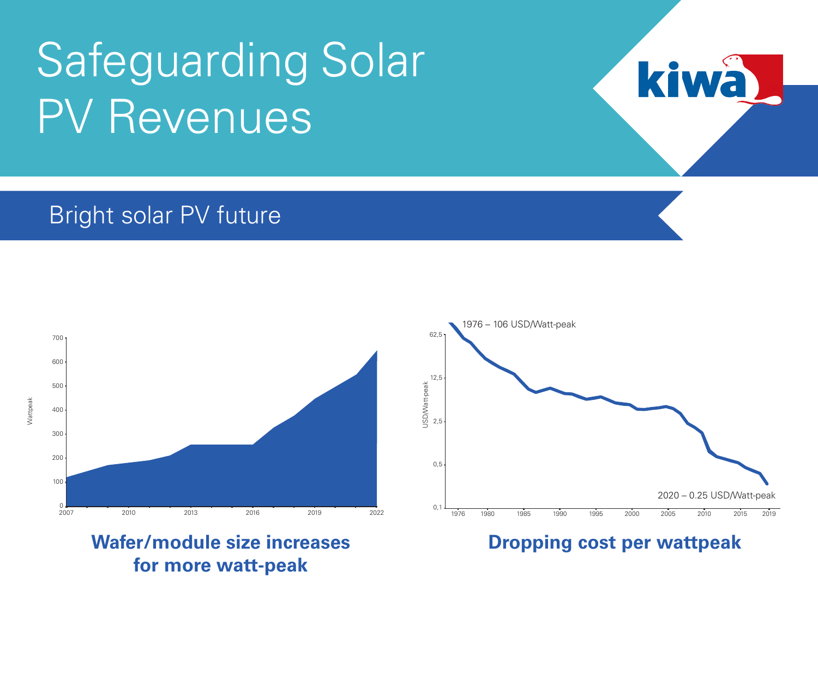#### Bright solar PV future



**for more watt-peak**

Wafer/module size increases **Dropping cost per wattpeak** 



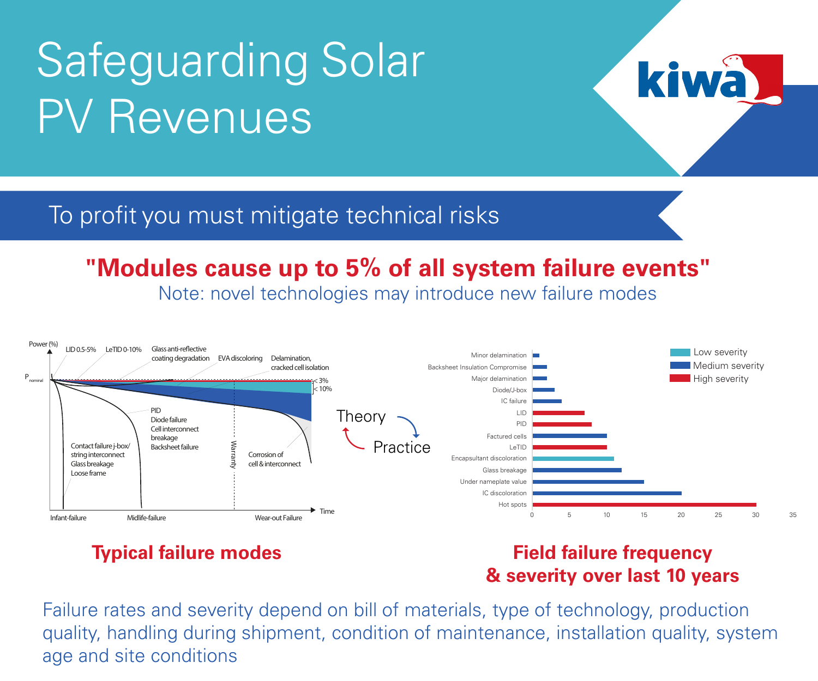#### To profit you must mitigate technical risks

#### **"Modules cause up to 5% of all system failure events"**

Note: novel technologies may introduce new failure modes



#### **Typical failure modes Field failure frequency & severity over last 10 years**

**ki** 

Failure rates and severity depend on bill of materials, type of technology, production quality, handling during shipment, condition of maintenance, installation quality, system age and site conditions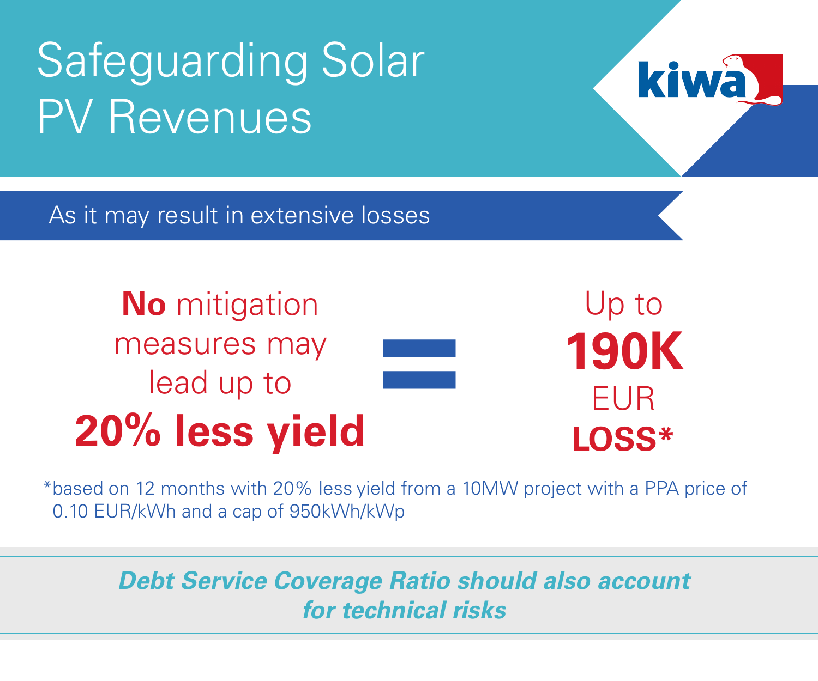As it may result in extensive losses

**No** mitigation measures may lead up to **20% less yield**

Up to **190K** EUR **LOSS\***

kiv

\*based on 12 months with 20% less yield from a 10MW project with a PPA price of 0.10 EUR/kWh and a cap of 950kWh/kWp

**=**

#### *Debt Service Coverage Ratio should also account for technical risks*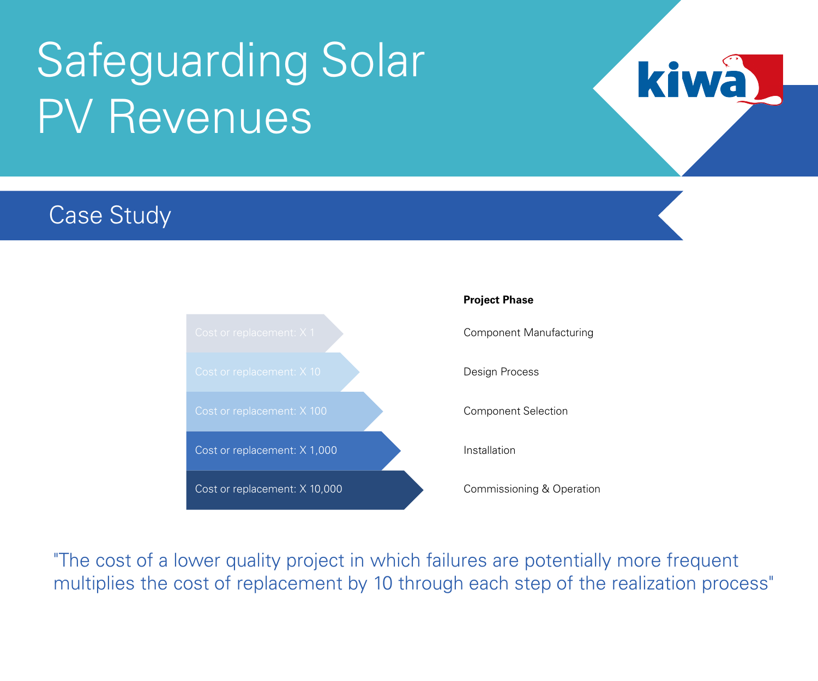### Case Study



kiw

"The cost of a lower quality project in which failures are potentially more frequent multiplies the cost of replacement by 10 through each step of the realization process"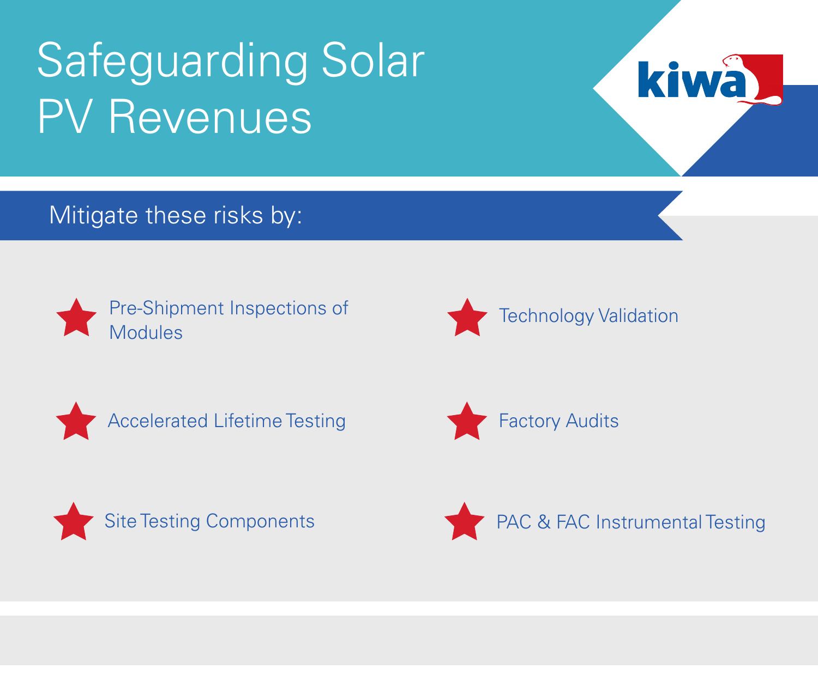

Mitigate these risks by:











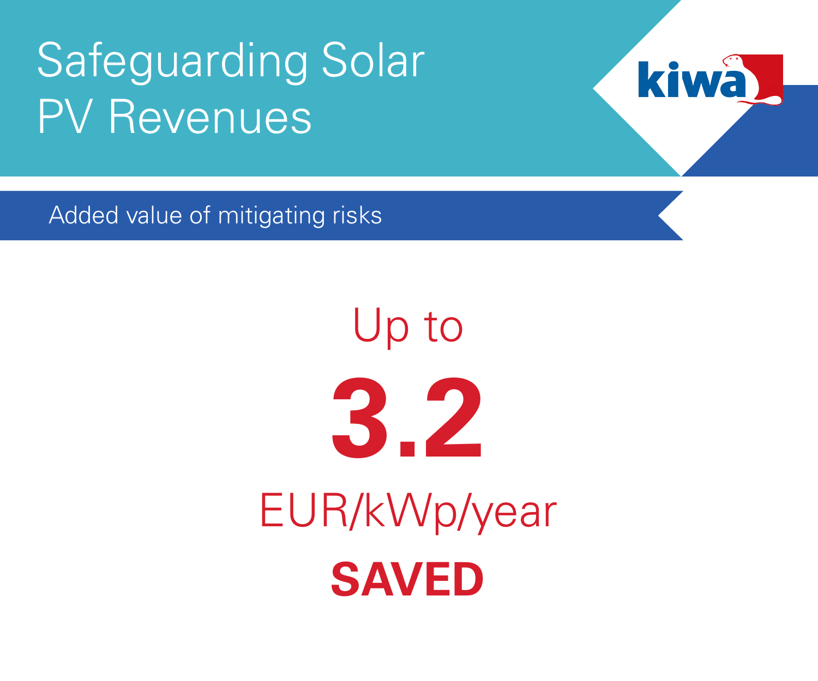

Added value of mitigating risks

# Up to **3.2** EUR/kWp/year **SAVED**